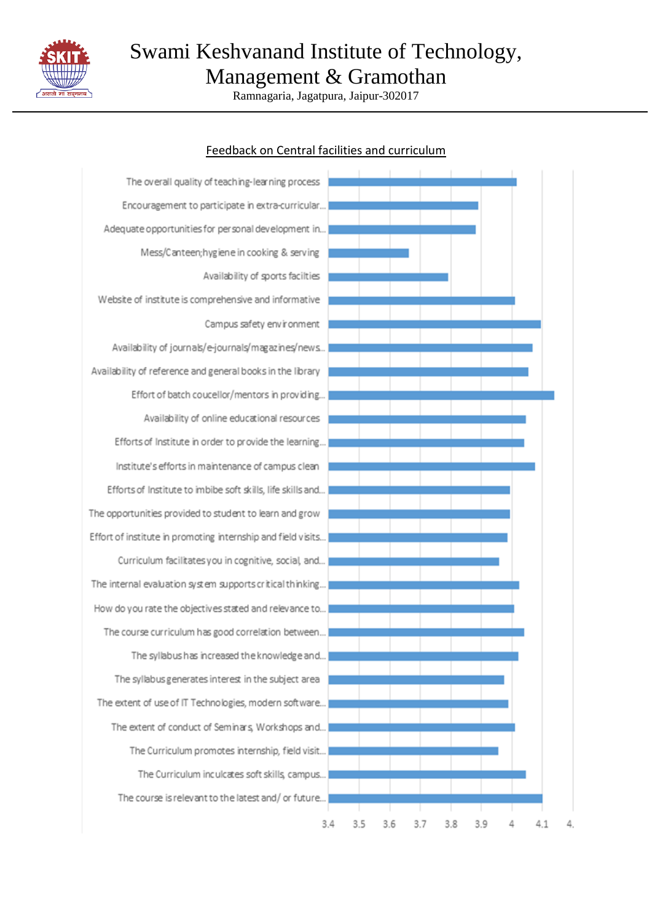

Ramnagaria, Jagatpura, Jaipur-302017

#### The overall quality of teaching-learning process Encouragement to participate in extra-curricular... Adequate opportunities for personal development in... Mess/Canteen; hygiene in cooking & serving Availability of sports facilties Website of institute is comprehensive and informative Campus safety environment Availability of journals/e-journals/magazines/news... Availability of reference and general books in the library Effort of batch coucellor/mentors in providing... Availability of online educational resources Efforts of Institute in order to provide the learning... Institute's efforts in maintenance of campus clean Efforts of Institute to imbibe soft skills, life skills and... The opportunities provided to student to learn and grow Effort of institute in promoting internship and field visits... Curriculum facilitates you in cognitive, social, and... The internal evaluation system supports critical thinking... How do you rate the objectives stated and relevance to... The course curriculum has good correlation between... The syllabus has increased the knowledge and... The syllabus generates interest in the subject area The extent of use of IT Technologies, modern software... The extent of conduct of Seminars, Workshops and... The Curriculum promotes internship, field visit... The Curriculum inculcates soft skills, campus... The course is relevant to the latest and/or future...  $3.4$  $3.5$  $3.6$  $3.7$  $3.8$  $3.9$ Δ  $\Delta$  1 Δ

#### Feedback on Central facilities and curriculum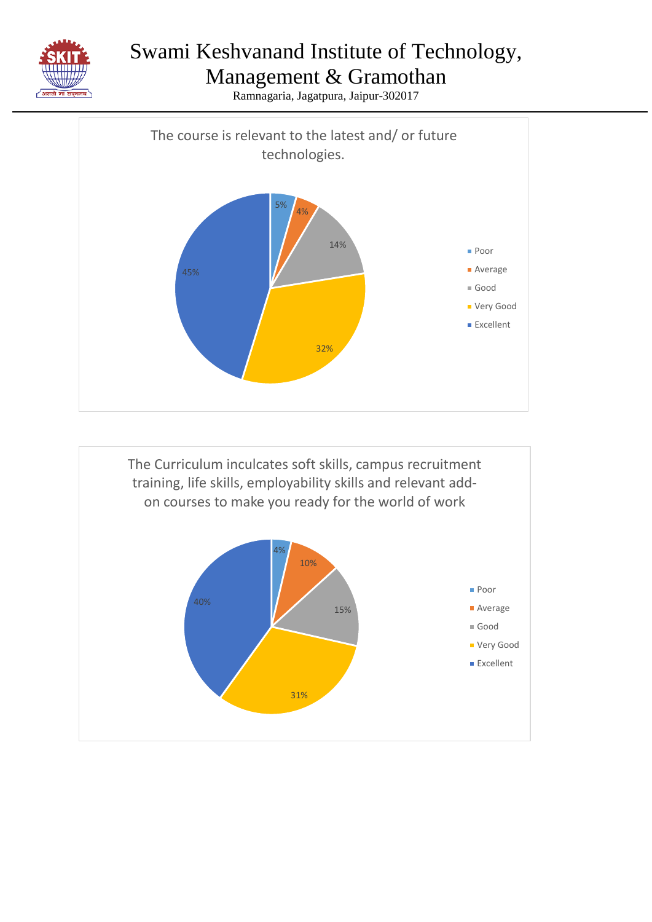



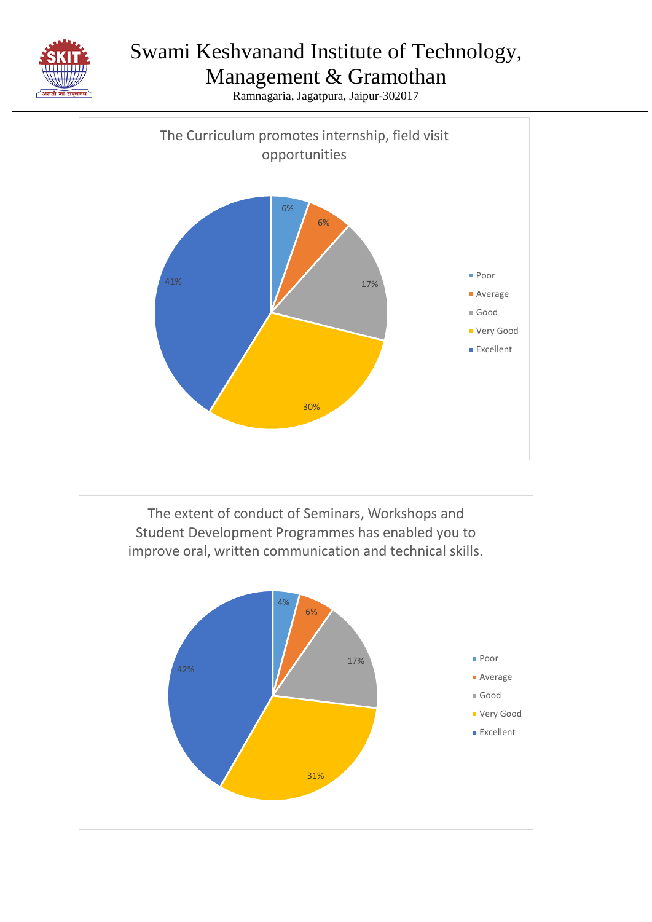

#### Management & Gramothan



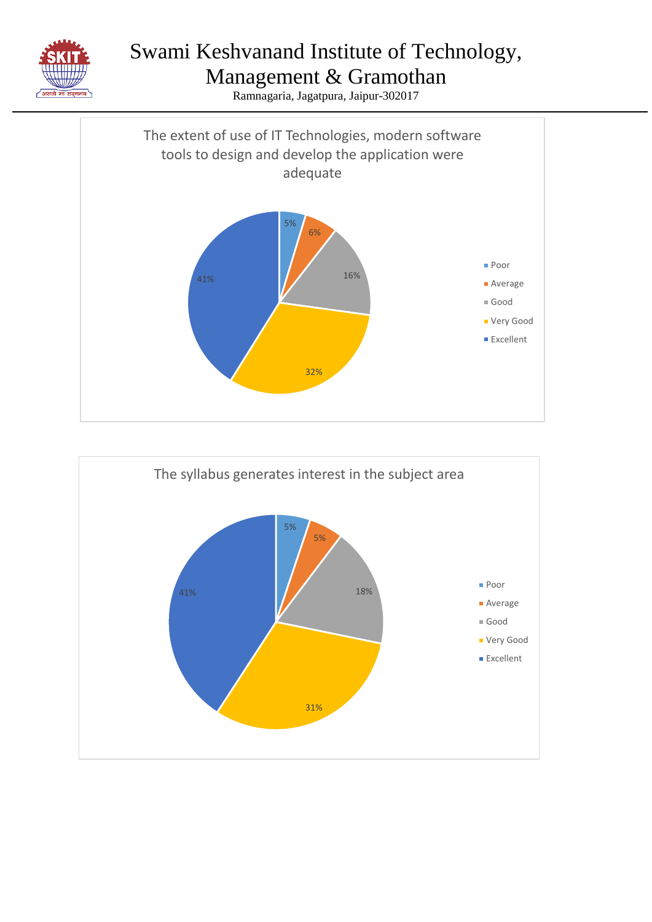



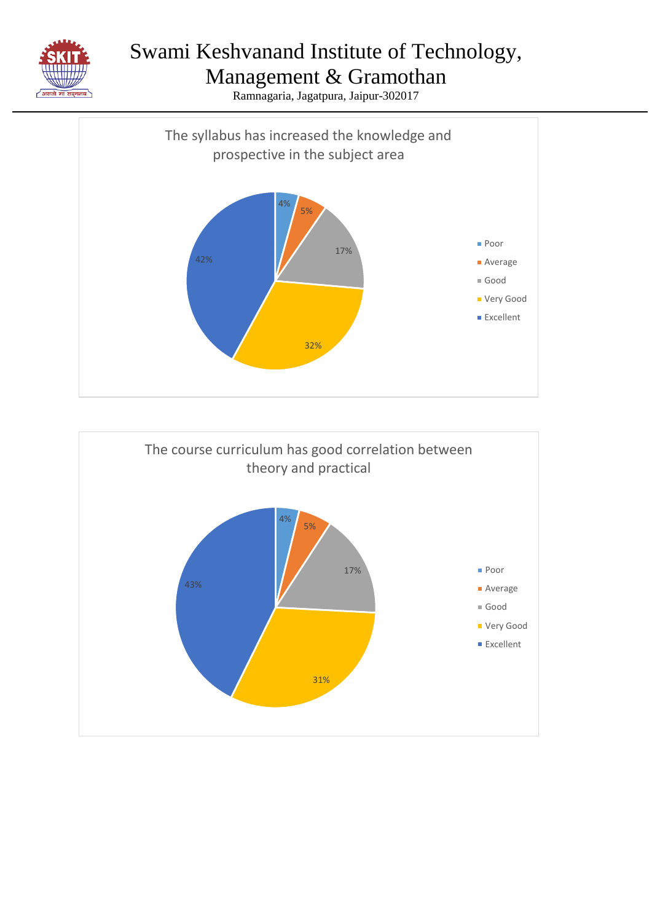

Management & Gramothan



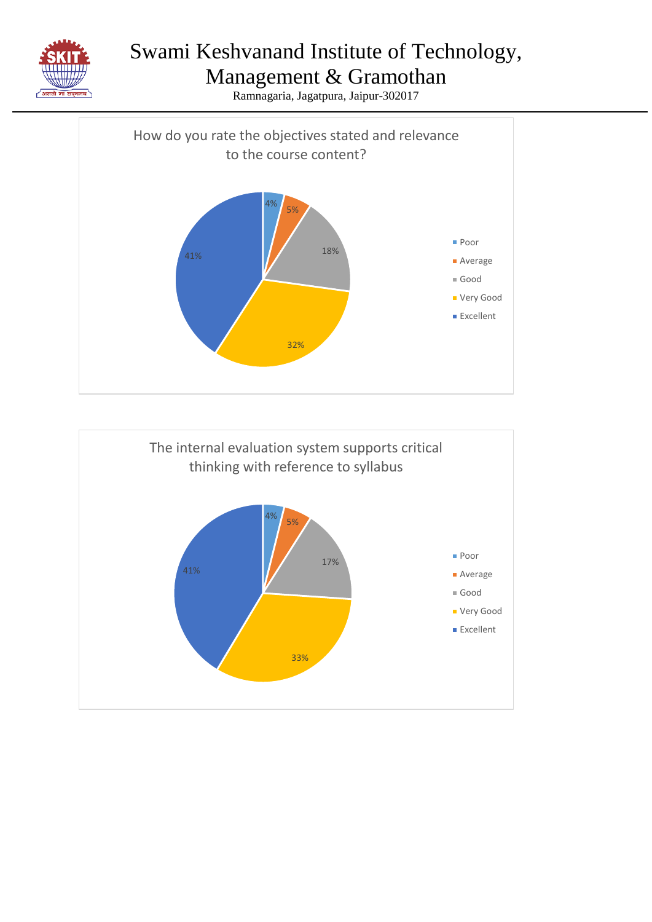



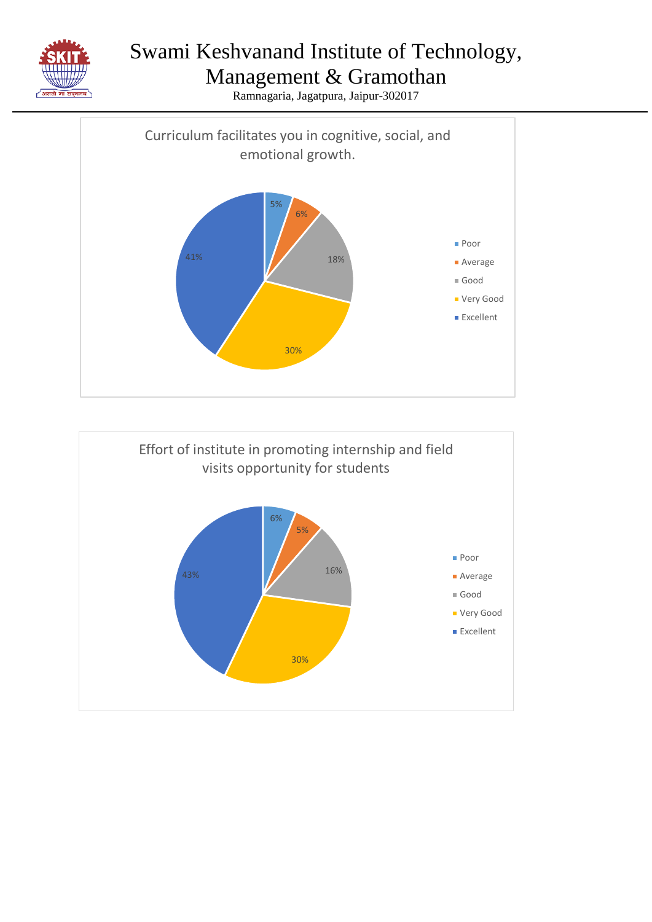



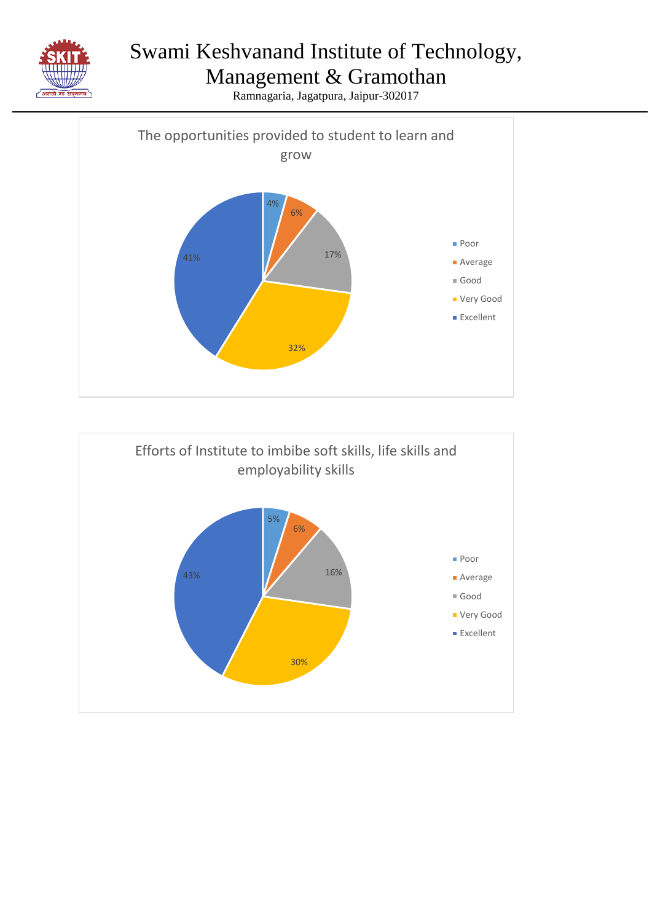



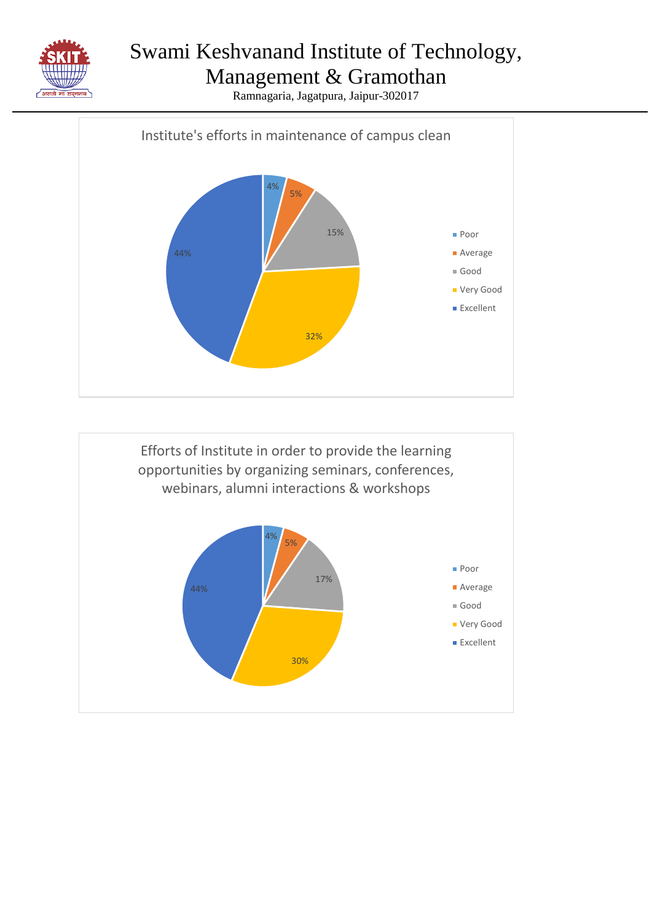

Management & Gramothan



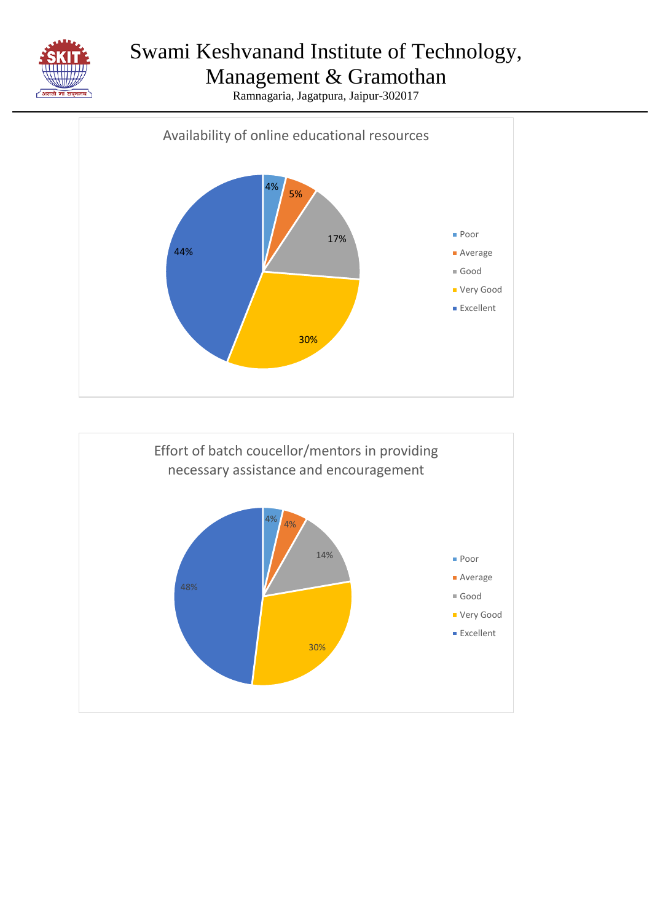

#### Management & Gramothan



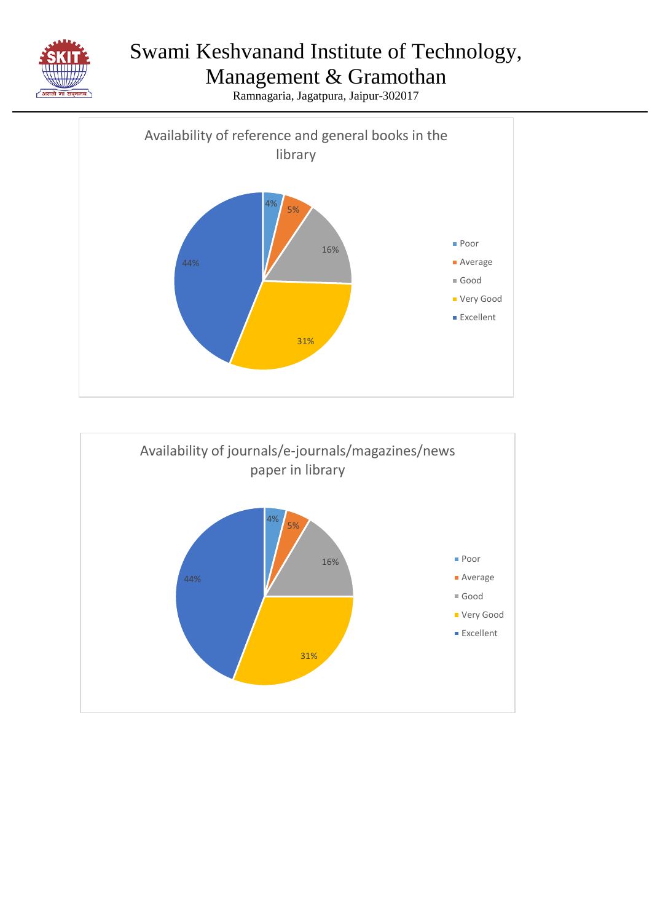



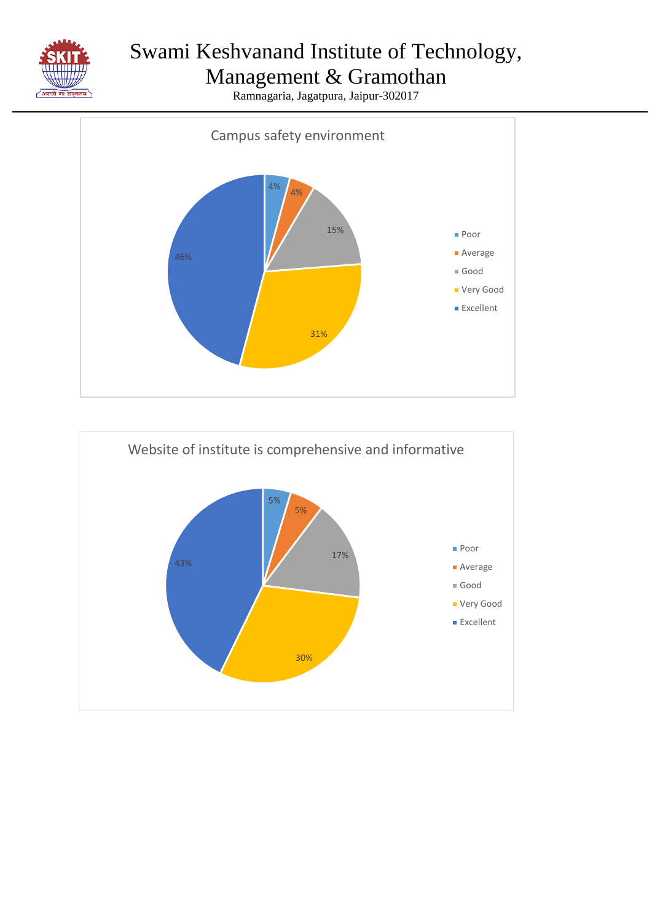

## Management & Gramothan



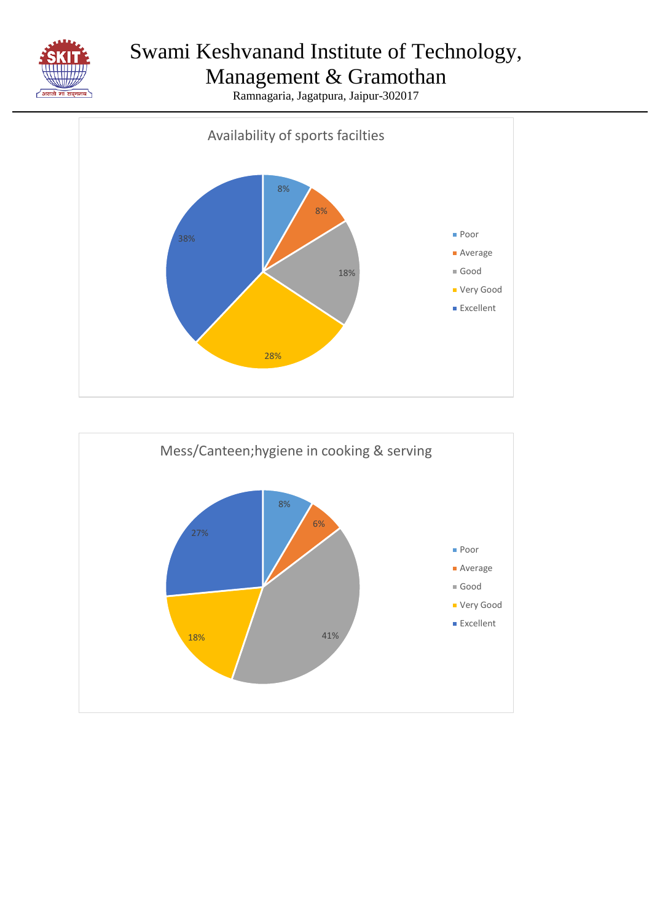

## Management & Gramothan



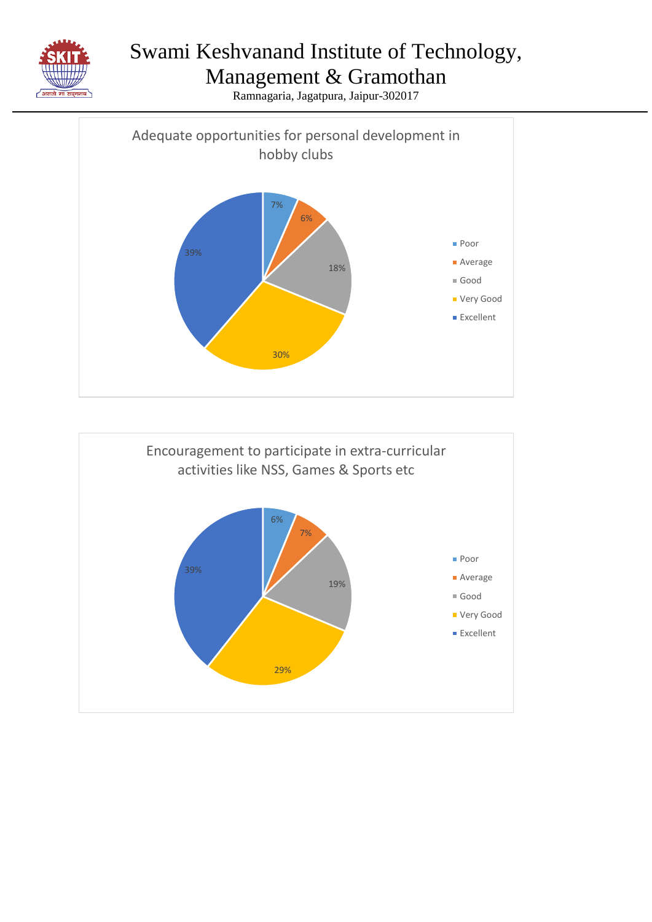



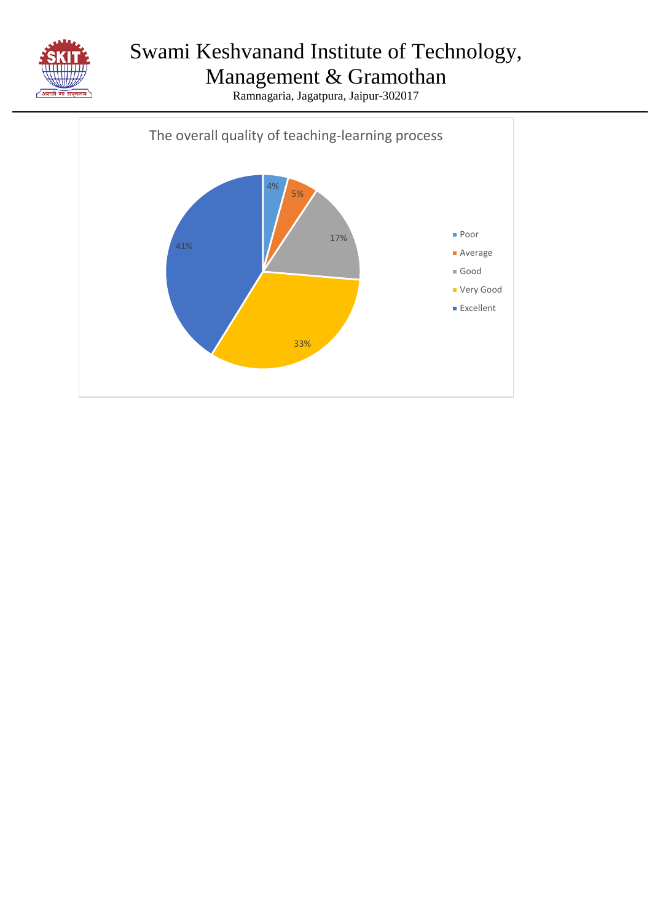

Management & Gramothan Ramnagaria, Jagatpura, Jaipur-302017